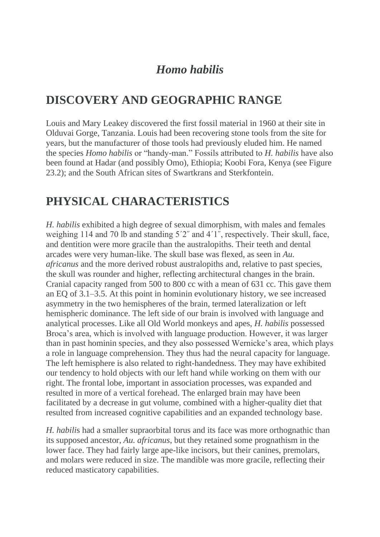## *Homo habilis*

## **DISCOVERY AND GEOGRAPHIC RANGE**

Louis and Mary Leakey discovered the first fossil material in 1960 at their site in Olduvai Gorge, Tanzania. Louis had been recovering stone tools from the site for years, but the manufacturer of those tools had previously eluded him. He named the species *Homo habilis* or "handy-man." Fossils attributed to *H. habilis* have also been found at Hadar (and possibly Omo), Ethiopia; Koobi Fora, Kenya (see Figure 23.2); and the South African sites of Swartkrans and Sterkfontein.

## **PHYSICAL CHARACTERISTICS**

*H. habilis* exhibited a high degree of sexual dimorphism, with males and females weighing 114 and 70 lb and standing 5<sup>'2"</sup> and 4<sup>'1"</sup>, respectively. Their skull, face, and dentition were more gracile than the australopiths. Their teeth and dental arcades were very human-like. The skull base was flexed, as seen in *Au. africanus* and the more derived robust australopiths and, relative to past species, the skull was rounder and higher, reflecting architectural changes in the brain. Cranial capacity ranged from 500 to 800 cc with a mean of 631 cc. This gave them an EQ of 3.1–3.5. At this point in hominin evolutionary history, we see increased asymmetry in the two hemispheres of the brain, termed lateralization or left hemispheric dominance. The left side of our brain is involved with language and analytical processes. Like all Old World monkeys and apes, *H. habilis* possessed Broca's area, which is involved with language production. However, it was larger than in past hominin species, and they also possessed Wernicke's area, which plays a role in language comprehension. They thus had the neural capacity for language. The left hemisphere is also related to right-handedness. They may have exhibited our tendency to hold objects with our left hand while working on them with our right. The frontal lobe, important in association processes, was expanded and resulted in more of a vertical forehead. The enlarged brain may have been facilitated by a decrease in gut volume, combined with a higher-quality diet that resulted from increased cognitive capabilities and an expanded technology base.

*H. habili*s had a smaller supraorbital torus and its face was more orthognathic than its supposed ancestor, *Au. africanus*, but they retained some prognathism in the lower face. They had fairly large ape-like incisors, but their canines, premolars, and molars were reduced in size. The mandible was more gracile, reflecting their reduced masticatory capabilities.